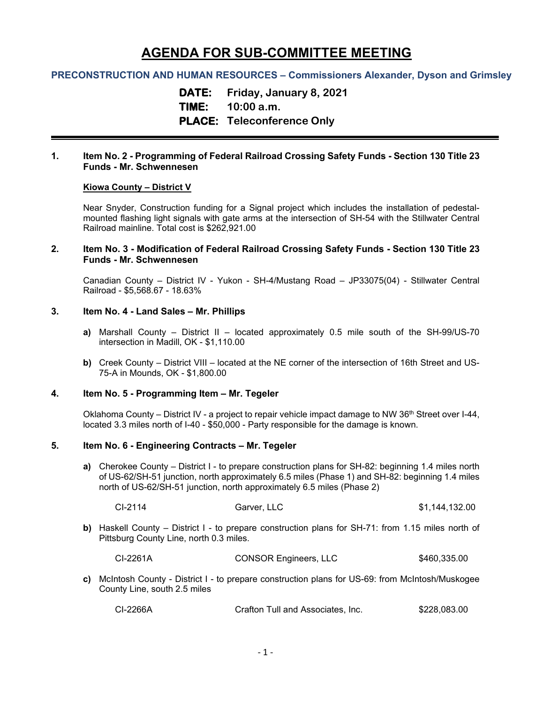# **AGENDA FOR SUB-COMMITTEE MEETING**

# **PRECONSTRUCTION AND HUMAN RESOURCES – Commissioners Alexander, Dyson and Grimsley**

**DATE: Friday, January 8, 2021 TIME: 10:00 a.m. PLACE: Teleconference Only**

## **1. Item No. 2 - Programming of Federal Railroad Crossing Safety Funds - Section 130 Title 23 Funds - Mr. Schwennesen**

### **Kiowa County – District V**

Near Snyder, Construction funding for a Signal project which includes the installation of pedestalmounted flashing light signals with gate arms at the intersection of SH-54 with the Stillwater Central Railroad mainline. Total cost is \$262,921.00

## **2. Item No. 3 - Modification of Federal Railroad Crossing Safety Funds - Section 130 Title 23 Funds - Mr. Schwennesen**

Canadian County – District IV - Yukon - SH-4/Mustang Road – JP33075(04) - Stillwater Central Railroad - \$5,568.67 - 18.63%

## **3. Item No. 4 - Land Sales – Mr. Phillips**

- **a)** Marshall County District II located approximately 0.5 mile south of the SH-99/US-70 intersection in Madill, OK - \$1,110.00
- **b)** Creek County District VIII located at the NE corner of the intersection of 16th Street and US-75-A in Mounds, OK - \$1,800.00

# **4. Item No. 5 - Programming Item – Mr. Tegeler**

Oklahoma County – District IV - a project to repair vehicle impact damage to NW 36<sup>th</sup> Street over I-44, located 3.3 miles north of I-40 - \$50,000 - Party responsible for the damage is known.

# **5. Item No. 6 - Engineering Contracts – Mr. Tegeler**

**a)** Cherokee County – District I - to prepare construction plans for SH-82: beginning 1.4 miles north of US-62/SH-51 junction, north approximately 6.5 miles (Phase 1) and SH-82: beginning 1.4 miles north of US-62/SH-51 junction, north approximately 6.5 miles (Phase 2)

| CI-2114 | Garver, LLC | \$1,144,132.00 |
|---------|-------------|----------------|
|         |             |                |

**b)** Haskell County – District I - to prepare construction plans for SH-71: from 1.15 miles north of Pittsburg County Line, north 0.3 miles.

CI-2261A CONSOR Engineers, LLC \$460,335.00

**c)** McIntosh County - District I - to prepare construction plans for US-69: from McIntosh/Muskogee County Line, south 2.5 miles

| CI-2266A | Crafton Tull and Associates. Inc. | \$228,083.00 |
|----------|-----------------------------------|--------------|
|----------|-----------------------------------|--------------|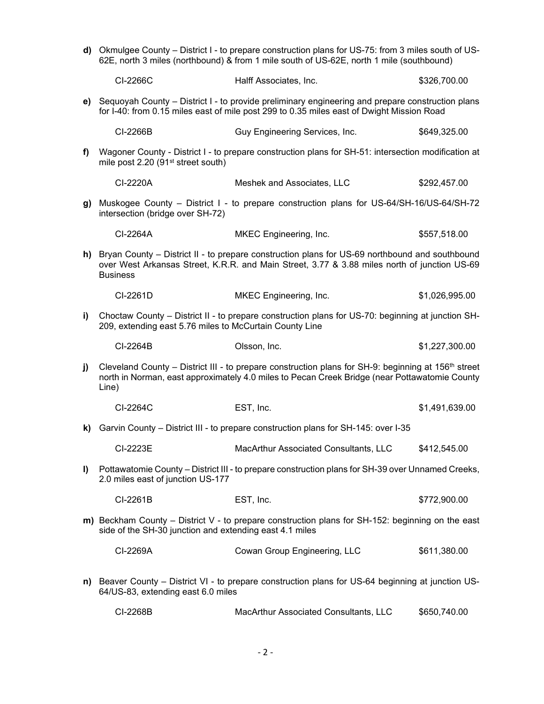**d)** Okmulgee County – District I - to prepare construction plans for US-75: from 3 miles south of US-62E, north 3 miles (northbound) & from 1 mile south of US-62E, north 1 mile (southbound)

|      | CI-2266C                                                                                                                                                                                                                  | Halff Associates, Inc.                                                                                                                                                                         | \$326,700.00   |
|------|---------------------------------------------------------------------------------------------------------------------------------------------------------------------------------------------------------------------------|------------------------------------------------------------------------------------------------------------------------------------------------------------------------------------------------|----------------|
| e) - | Sequoyah County – District I - to provide preliminary engineering and prepare construction plans<br>for I-40: from 0.15 miles east of mile post 299 to 0.35 miles east of Dwight Mission Road                             |                                                                                                                                                                                                |                |
|      | CI-2266B                                                                                                                                                                                                                  | Guy Engineering Services, Inc.                                                                                                                                                                 | \$649,325.00   |
| f)   | mile post 2.20 (91 <sup>st</sup> street south)                                                                                                                                                                            | Wagoner County - District I - to prepare construction plans for SH-51: intersection modification at                                                                                            |                |
|      | CI-2220A                                                                                                                                                                                                                  | Meshek and Associates, LLC                                                                                                                                                                     | \$292,457.00   |
| g) l | intersection (bridge over SH-72)                                                                                                                                                                                          | Muskogee County – District I - to prepare construction plans for US-64/SH-16/US-64/SH-72                                                                                                       |                |
|      | CI-2264A                                                                                                                                                                                                                  | MKEC Engineering, Inc.                                                                                                                                                                         | \$557,518.00   |
| h)   | <b>Business</b>                                                                                                                                                                                                           | Bryan County - District II - to prepare construction plans for US-69 northbound and southbound<br>over West Arkansas Street, K.R.R. and Main Street, 3.77 & 3.88 miles north of junction US-69 |                |
|      | CI-2261D                                                                                                                                                                                                                  | MKEC Engineering, Inc.                                                                                                                                                                         | \$1,026,995.00 |
| i)   | 209, extending east 5.76 miles to McCurtain County Line                                                                                                                                                                   | Choctaw County – District II - to prepare construction plans for US-70: beginning at junction SH-                                                                                              |                |
|      | CI-2264B                                                                                                                                                                                                                  | Olsson, Inc.                                                                                                                                                                                   | \$1,227,300.00 |
| j)   | Cleveland County – District III - to prepare construction plans for SH-9: beginning at 156 <sup>th</sup> street<br>north in Norman, east approximately 4.0 miles to Pecan Creek Bridge (near Pottawatomie County<br>Line) |                                                                                                                                                                                                |                |
|      | CI-2264C                                                                                                                                                                                                                  | EST, Inc.                                                                                                                                                                                      | \$1,491,639.00 |
| k) l |                                                                                                                                                                                                                           | Garvin County - District III - to prepare construction plans for SH-145: over I-35                                                                                                             |                |
|      | CI-2223E                                                                                                                                                                                                                  | MacArthur Associated Consultants, LLC                                                                                                                                                          | \$412,545.00   |
| I)   | 2.0 miles east of junction US-177                                                                                                                                                                                         | Pottawatomie County - District III - to prepare construction plans for SH-39 over Unnamed Creeks,                                                                                              |                |
|      | CI-2261B                                                                                                                                                                                                                  | EST, Inc.                                                                                                                                                                                      | \$772,900.00   |
|      | side of the SH-30 junction and extending east 4.1 miles                                                                                                                                                                   | m) Beckham County - District V - to prepare construction plans for SH-152: beginning on the east                                                                                               |                |
|      | CI-2269A                                                                                                                                                                                                                  | Cowan Group Engineering, LLC                                                                                                                                                                   | \$611,380.00   |
| n)   | 64/US-83, extending east 6.0 miles                                                                                                                                                                                        | Beaver County – District VI - to prepare construction plans for US-64 beginning at junction US-                                                                                                |                |

CI-2268B MacArthur Associated Consultants, LLC \$650,740.00